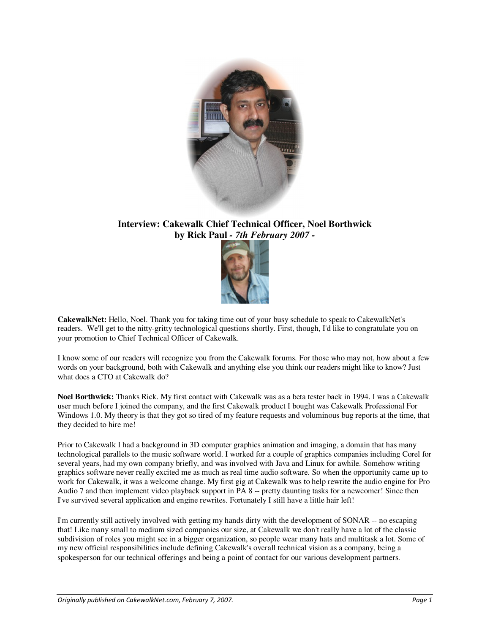

# **Interview: Cakewalk Chief Technical Officer, Noel Borthwick by Rick Paul** *- 7th February 2007 -*



**CakewalkNet:** Hello, Noel. Thank you for taking time out of your busy schedule to speak to CakewalkNet's readers. We'll get to the nitty-gritty technological questions shortly. First, though, I'd like to congratulate you on your promotion to Chief Technical Officer of Cakewalk.

I know some of our readers will recognize you from the Cakewalk forums. For those who may not, how about a few words on your background, both with Cakewalk and anything else you think our readers might like to know? Just what does a CTO at Cakewalk do?

**Noel Borthwick:** Thanks Rick. My first contact with Cakewalk was as a beta tester back in 1994. I was a Cakewalk user much before I joined the company, and the first Cakewalk product I bought was Cakewalk Professional For Windows 1.0. My theory is that they got so tired of my feature requests and voluminous bug reports at the time, that they decided to hire me!

Prior to Cakewalk I had a background in 3D computer graphics animation and imaging, a domain that has many technological parallels to the music software world. I worked for a couple of graphics companies including Corel for several years, had my own company briefly, and was involved with Java and Linux for awhile. Somehow writing graphics software never really excited me as much as real time audio software. So when the opportunity came up to work for Cakewalk, it was a welcome change. My first gig at Cakewalk was to help rewrite the audio engine for Pro Audio 7 and then implement video playback support in PA 8 -- pretty daunting tasks for a newcomer! Since then I've survived several application and engine rewrites. Fortunately I still have a little hair left!

I'm currently still actively involved with getting my hands dirty with the development of SONAR -- no escaping that! Like many small to medium sized companies our size, at Cakewalk we don't really have a lot of the classic subdivision of roles you might see in a bigger organization, so people wear many hats and multitask a lot. Some of my new official responsibilities include defining Cakewalk's overall technical vision as a company, being a spokesperson for our technical offerings and being a point of contact for our various development partners.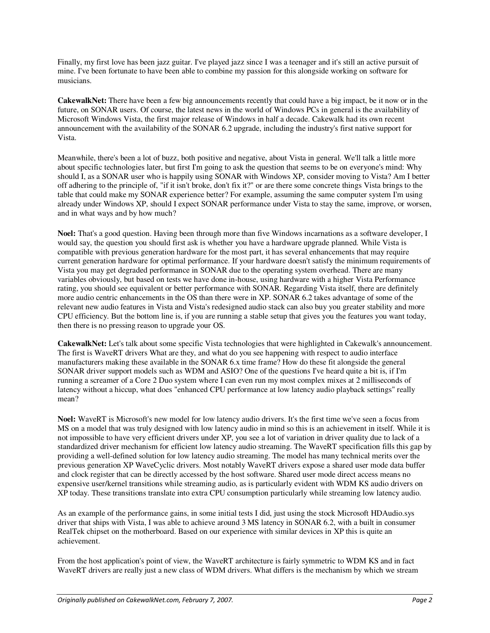Finally, my first love has been jazz guitar. I've played jazz since I was a teenager and it's still an active pursuit of mine. I've been fortunate to have been able to combine my passion for this alongside working on software for musicians.

**CakewalkNet:** There have been a few big announcements recently that could have a big impact, be it now or in the future, on SONAR users. Of course, the latest news in the world of Windows PCs in general is the availability of Microsoft Windows Vista, the first major release of Windows in half a decade. Cakewalk had its own recent announcement with the availability of the SONAR 6.2 upgrade, including the industry's first native support for Vista.

Meanwhile, there's been a lot of buzz, both positive and negative, about Vista in general. We'll talk a little more about specific technologies later, but first I'm going to ask the question that seems to be on everyone's mind: Why should I, as a SONAR user who is happily using SONAR with Windows XP, consider moving to Vista? Am I better off adhering to the principle of, "if it isn't broke, don't fix it?" or are there some concrete things Vista brings to the table that could make my SONAR experience better? For example, assuming the same computer system I'm using already under Windows XP, should I expect SONAR performance under Vista to stay the same, improve, or worsen, and in what ways and by how much?

**Noel:** That's a good question. Having been through more than five Windows incarnations as a software developer, I would say, the question you should first ask is whether you have a hardware upgrade planned. While Vista is compatible with previous generation hardware for the most part, it has several enhancements that may require current generation hardware for optimal performance. If your hardware doesn't satisfy the minimum requirements of Vista you may get degraded performance in SONAR due to the operating system overhead. There are many variables obviously, but based on tests we have done in-house, using hardware with a higher Vista Performance rating, you should see equivalent or better performance with SONAR. Regarding Vista itself, there are definitely more audio centric enhancements in the OS than there were in XP. SONAR 6.2 takes advantage of some of the relevant new audio features in Vista and Vista's redesigned audio stack can also buy you greater stability and more CPU efficiency. But the bottom line is, if you are running a stable setup that gives you the features you want today, then there is no pressing reason to upgrade your OS.

**CakewalkNet:** Let's talk about some specific Vista technologies that were highlighted in Cakewalk's announcement. The first is WaveRT drivers What are they, and what do you see happening with respect to audio interface manufacturers making these available in the SONAR 6.x time frame? How do these fit alongside the general SONAR driver support models such as WDM and ASIO? One of the questions I've heard quite a bit is, if I'm running a screamer of a Core 2 Duo system where I can even run my most complex mixes at 2 milliseconds of latency without a hiccup, what does "enhanced CPU performance at low latency audio playback settings" really mean?

**Noel:** WaveRT is Microsoft's new model for low latency audio drivers. It's the first time we've seen a focus from MS on a model that was truly designed with low latency audio in mind so this is an achievement in itself. While it is not impossible to have very efficient drivers under XP, you see a lot of variation in driver quality due to lack of a standardized driver mechanism for efficient low latency audio streaming. The WaveRT specification fills this gap by providing a well-defined solution for low latency audio streaming. The model has many technical merits over the previous generation XP WaveCyclic drivers. Most notably WaveRT drivers expose a shared user mode data buffer and clock register that can be directly accessed by the host software. Shared user mode direct access means no expensive user/kernel transitions while streaming audio, as is particularly evident with WDM KS audio drivers on XP today. These transitions translate into extra CPU consumption particularly while streaming low latency audio.

As an example of the performance gains, in some initial tests I did, just using the stock Microsoft HDAudio.sys driver that ships with Vista, I was able to achieve around 3 MS latency in SONAR 6.2, with a built in consumer RealTek chipset on the motherboard. Based on our experience with similar devices in XP this is quite an achievement.

From the host application's point of view, the WaveRT architecture is fairly symmetric to WDM KS and in fact WaveRT drivers are really just a new class of WDM drivers. What differs is the mechanism by which we stream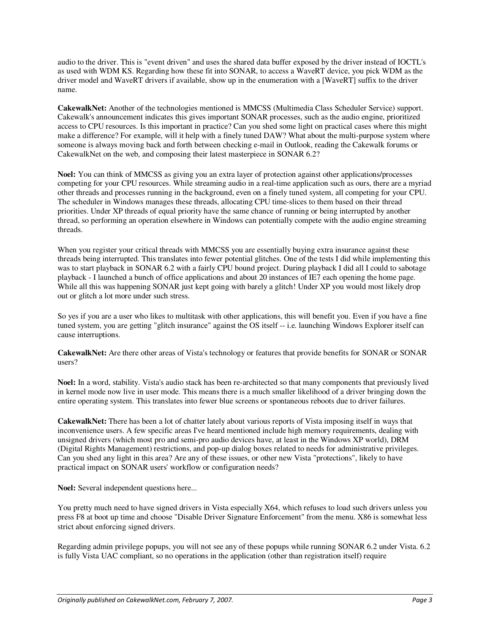audio to the driver. This is "event driven" and uses the shared data buffer exposed by the driver instead of IOCTL's as used with WDM KS. Regarding how these fit into SONAR, to access a WaveRT device, you pick WDM as the driver model and WaveRT drivers if available, show up in the enumeration with a [WaveRT] suffix to the driver name.

**CakewalkNet:** Another of the technologies mentioned is MMCSS (Multimedia Class Scheduler Service) support. Cakewalk's announcement indicates this gives important SONAR processes, such as the audio engine, prioritized access to CPU resources. Is this important in practice? Can you shed some light on practical cases where this might make a difference? For example, will it help with a finely tuned DAW? What about the multi-purpose system where someone is always moving back and forth between checking e-mail in Outlook, reading the Cakewalk forums or CakewalkNet on the web, and composing their latest masterpiece in SONAR 6.2?

**Noel:** You can think of MMCSS as giving you an extra layer of protection against other applications/processes competing for your CPU resources. While streaming audio in a real-time application such as ours, there are a myriad other threads and processes running in the background, even on a finely tuned system, all competing for your CPU. The scheduler in Windows manages these threads, allocating CPU time-slices to them based on their thread priorities. Under XP threads of equal priority have the same chance of running or being interrupted by another thread, so performing an operation elsewhere in Windows can potentially compete with the audio engine streaming threads.

When you register your critical threads with MMCSS you are essentially buying extra insurance against these threads being interrupted. This translates into fewer potential glitches. One of the tests I did while implementing this was to start playback in SONAR 6.2 with a fairly CPU bound project. During playback I did all I could to sabotage playback - I launched a bunch of office applications and about 20 instances of IE7 each opening the home page. While all this was happening SONAR just kept going with barely a glitch! Under XP you would most likely drop out or glitch a lot more under such stress.

So yes if you are a user who likes to multitask with other applications, this will benefit you. Even if you have a fine tuned system, you are getting "glitch insurance" against the OS itself -- i.e. launching Windows Explorer itself can cause interruptions.

**CakewalkNet:** Are there other areas of Vista's technology or features that provide benefits for SONAR or SONAR users?

**Noel:** In a word, stability. Vista's audio stack has been re-architected so that many components that previously lived in kernel mode now live in user mode. This means there is a much smaller likelihood of a driver bringing down the entire operating system. This translates into fewer blue screens or spontaneous reboots due to driver failures.

**CakewalkNet:** There has been a lot of chatter lately about various reports of Vista imposing itself in ways that inconvenience users. A few specific areas I've heard mentioned include high memory requirements, dealing with unsigned drivers (which most pro and semi-pro audio devices have, at least in the Windows XP world), DRM (Digital Rights Management) restrictions, and pop-up dialog boxes related to needs for administrative privileges. Can you shed any light in this area? Are any of these issues, or other new Vista "protections", likely to have practical impact on SONAR users' workflow or configuration needs?

**Noel:** Several independent questions here...

You pretty much need to have signed drivers in Vista especially X64, which refuses to load such drivers unless you press F8 at boot up time and choose "Disable Driver Signature Enforcement" from the menu. X86 is somewhat less strict about enforcing signed drivers.

Regarding admin privilege popups, you will not see any of these popups while running SONAR 6.2 under Vista. 6.2 is fully Vista UAC compliant, so no operations in the application (other than registration itself) require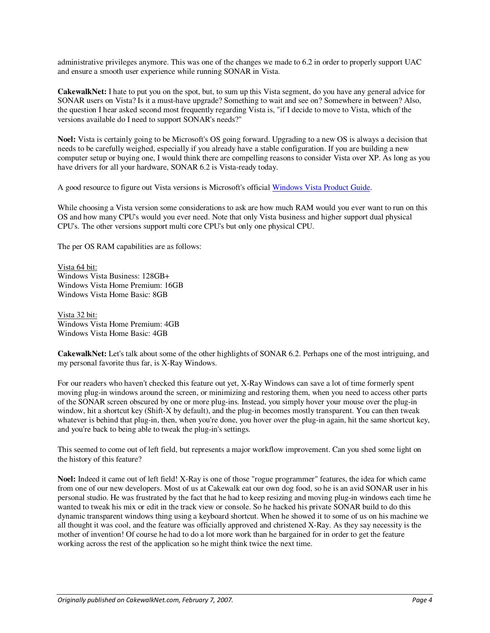administrative privileges anymore. This was one of the changes we made to 6.2 in order to properly support UAC and ensure a smooth user experience while running SONAR in Vista.

**CakewalkNet:** I hate to put you on the spot, but, to sum up this Vista segment, do you have any general advice for SONAR users on Vista? Is it a must-have upgrade? Something to wait and see on? Somewhere in between? Also, the question I hear asked second most frequently regarding Vista is, "if I decide to move to Vista, which of the versions available do I need to support SONAR's needs?"

**Noel:** Vista is certainly going to be Microsoft's OS going forward. Upgrading to a new OS is always a decision that needs to be carefully weighed, especially if you already have a stable configuration. If you are building a new computer setup or buying one, I would think there are compelling reasons to consider Vista over XP. As long as you have drivers for all your hardware, SONAR 6.2 is Vista-ready today.

A good resource to figure out Vista versions is Microsoft's official Windows Vista Product Guide.

While choosing a Vista version some considerations to ask are how much RAM would you ever want to run on this OS and how many CPU's would you ever need. Note that only Vista business and higher support dual physical CPU's. The other versions support multi core CPU's but only one physical CPU.

The per OS RAM capabilities are as follows:

Vista 64 bit: Windows Vista Business: 128GB+ Windows Vista Home Premium: 16GB Windows Vista Home Basic: 8GB

Vista 32 bit: Windows Vista Home Premium: 4GB Windows Vista Home Basic: 4GB

**CakewalkNet:** Let's talk about some of the other highlights of SONAR 6.2. Perhaps one of the most intriguing, and my personal favorite thus far, is X-Ray Windows.

For our readers who haven't checked this feature out yet, X-Ray Windows can save a lot of time formerly spent moving plug-in windows around the screen, or minimizing and restoring them, when you need to access other parts of the SONAR screen obscured by one or more plug-ins. Instead, you simply hover your mouse over the plug-in window, hit a shortcut key (Shift-X by default), and the plug-in becomes mostly transparent. You can then tweak whatever is behind that plug-in, then, when you're done, you hover over the plug-in again, hit the same shortcut key, and you're back to being able to tweak the plug-in's settings.

This seemed to come out of left field, but represents a major workflow improvement. Can you shed some light on the history of this feature?

**Noel:** Indeed it came out of left field! X-Ray is one of those "rogue programmer" features, the idea for which came from one of our new developers. Most of us at Cakewalk eat our own dog food, so he is an avid SONAR user in his personal studio. He was frustrated by the fact that he had to keep resizing and moving plug-in windows each time he wanted to tweak his mix or edit in the track view or console. So he hacked his private SONAR build to do this dynamic transparent windows thing using a keyboard shortcut. When he showed it to some of us on his machine we all thought it was cool, and the feature was officially approved and christened X-Ray. As they say necessity is the mother of invention! Of course he had to do a lot more work than he bargained for in order to get the feature working across the rest of the application so he might think twice the next time.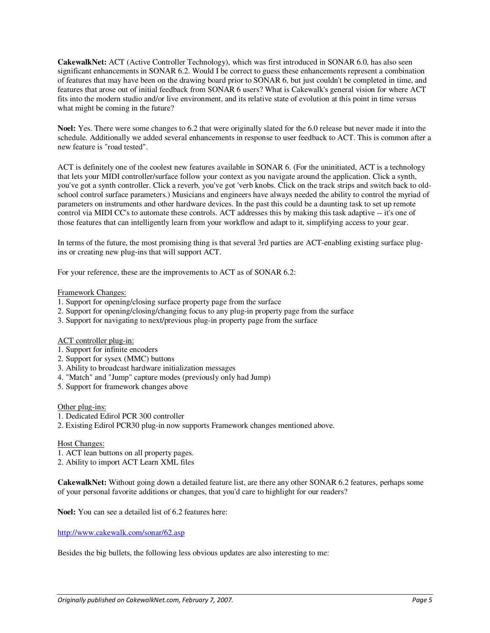**CakewalkNet:** ACT (Active Controller Technology), which was first introduced in SONAR 6.0, has also seen significant enhancements in SONAR 6.2. Would I be correct to guess these enhancements represent a combination of features that may have been on the drawing board prior to SONAR 6, but just couldn't be completed in time, and features that arose out of initial feedback from SONAR 6 users? What is Cakewalk's general vision for where ACT fits into the modern studio and/or live environment, and its relative state of evolution at this point in time versus what might be coming in the future?

**Noel:** Yes. There were some changes to 6.2 that were originally slated for the 6.0 release but never made it into the schedule. Additionally we added several enhancements in response to user feedback to ACT. This is common after a new feature is "road tested".

ACT is definitely one of the coolest new features available in SONAR 6. (For the uninitiated, ACT is a technology that lets your MIDI controller/surface follow your context as you navigate around the application. Click a synth, you've got a synth controller. Click a reverb, you've got 'verb knobs. Click on the track strips and switch back to oldschool control surface parameters.) Musicians and engineers have always needed the ability to control the myriad of parameters on instruments and other hardware devices. In the past this could be a daunting task to set up remote control via MIDI CC's to automate these controls. ACT addresses this by making this task adaptive -- it's one of those features that can intelligently learn from your workflow and adapt to it, simplifying access to your gear.

In terms of the future, the most promising thing is that several 3rd parties are ACT-enabling existing surface plugins or creating new plug-ins that will support ACT.

For your reference, these are the improvements to ACT as of SONAR 6.2:

# Framework Changes:

- 1. Support for opening/closing surface property page from the surface
- 2. Support for opening/closing/changing focus to any plug-in property page from the surface
- 3. Support for navigating to next/previous plug-in property page from the surface

# ACT controller plug-in:

- 1. Support for infinite encoders
- 2. Support for sysex (MMC) buttons
- 3. Ability to broadcast hardware initialization messages
- 4. "Match" and "Jump" capture modes (previously only had Jump)
- 5. Support for framework changes above

#### Other plug-ins:

- 1. Dedicated Edirol PCR 300 controller
- 2. Existing Edirol PCR30 plug-in now supports Framework changes mentioned above.

## Host Changes:

- 1. ACT lean buttons on all property pages.
- 2. Ability to import ACT Learn XML files

**CakewalkNet:** Without going down a detailed feature list, are there any other SONAR 6.2 features, perhaps some of your personal favorite additions or changes, that you'd care to highlight for our readers?

**Noel:** You can see a detailed list of 6.2 features here:

## http://www.cakewalk.com/sonar/62.asp

Besides the big bullets, the following less obvious updates are also interesting to me: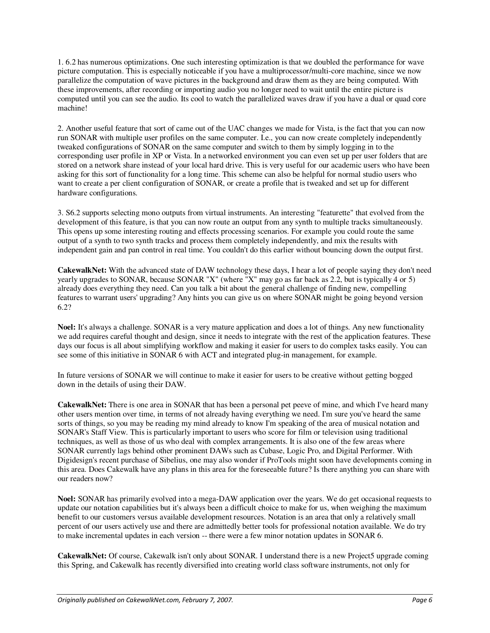1. 6.2 has numerous optimizations. One such interesting optimization is that we doubled the performance for wave picture computation. This is especially noticeable if you have a multiprocessor/multi-core machine, since we now parallelize the computation of wave pictures in the background and draw them as they are being computed. With these improvements, after recording or importing audio you no longer need to wait until the entire picture is computed until you can see the audio. Its cool to watch the parallelized waves draw if you have a dual or quad core machine!

2. Another useful feature that sort of came out of the UAC changes we made for Vista, is the fact that you can now run SONAR with multiple user profiles on the same computer. I.e., you can now create completely independently tweaked configurations of SONAR on the same computer and switch to them by simply logging in to the corresponding user profile in XP or Vista. In a networked environment you can even set up per user folders that are stored on a network share instead of your local hard drive. This is very useful for our academic users who have been asking for this sort of functionality for a long time. This scheme can also be helpful for normal studio users who want to create a per client configuration of SONAR, or create a profile that is tweaked and set up for different hardware configurations.

3. S6.2 supports selecting mono outputs from virtual instruments. An interesting "featurette" that evolved from the development of this feature, is that you can now route an output from any synth to multiple tracks simultaneously. This opens up some interesting routing and effects processing scenarios. For example you could route the same output of a synth to two synth tracks and process them completely independently, and mix the results with independent gain and pan control in real time. You couldn't do this earlier without bouncing down the output first.

**CakewalkNet:** With the advanced state of DAW technology these days, I hear a lot of people saying they don't need yearly upgrades to SONAR, because SONAR "X" (where "X" may go as far back as 2.2, but is typically 4 or 5) already does everything they need. Can you talk a bit about the general challenge of finding new, compelling features to warrant users' upgrading? Any hints you can give us on where SONAR might be going beyond version 6.2?

**Noel:** It's always a challenge. SONAR is a very mature application and does a lot of things. Any new functionality we add requires careful thought and design, since it needs to integrate with the rest of the application features. These days our focus is all about simplifying workflow and making it easier for users to do complex tasks easily. You can see some of this initiative in SONAR 6 with ACT and integrated plug-in management, for example.

In future versions of SONAR we will continue to make it easier for users to be creative without getting bogged down in the details of using their DAW.

**CakewalkNet:** There is one area in SONAR that has been a personal pet peeve of mine, and which I've heard many other users mention over time, in terms of not already having everything we need. I'm sure you've heard the same sorts of things, so you may be reading my mind already to know I'm speaking of the area of musical notation and SONAR's Staff View. This is particularly important to users who score for film or television using traditional techniques, as well as those of us who deal with complex arrangements. It is also one of the few areas where SONAR currently lags behind other prominent DAWs such as Cubase, Logic Pro, and Digital Performer. With Digidesign's recent purchase of Sibelius, one may also wonder if ProTools might soon have developments coming in this area. Does Cakewalk have any plans in this area for the foreseeable future? Is there anything you can share with our readers now?

**Noel:** SONAR has primarily evolved into a mega-DAW application over the years. We do get occasional requests to update our notation capabilities but it's always been a difficult choice to make for us, when weighing the maximum benefit to our customers versus available development resources. Notation is an area that only a relatively small percent of our users actively use and there are admittedly better tools for professional notation available. We do try to make incremental updates in each version -- there were a few minor notation updates in SONAR 6.

**CakewalkNet:** Of course, Cakewalk isn't only about SONAR. I understand there is a new Project5 upgrade coming this Spring, and Cakewalk has recently diversified into creating world class software instruments, not only for